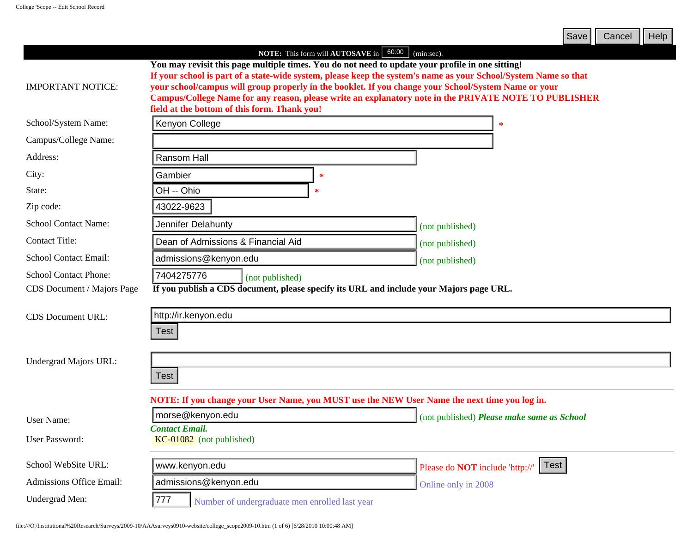|                                 |                                                                                                                                                                                                                                                                                                                                                                                                                                                                                      | Save  <br>Cancel<br>Help                       |
|---------------------------------|--------------------------------------------------------------------------------------------------------------------------------------------------------------------------------------------------------------------------------------------------------------------------------------------------------------------------------------------------------------------------------------------------------------------------------------------------------------------------------------|------------------------------------------------|
|                                 | NOTE: This form will AUTOSAVE in 60:00                                                                                                                                                                                                                                                                                                                                                                                                                                               | (min:sec).                                     |
| <b>IMPORTANT NOTICE:</b>        | You may revisit this page multiple times. You do not need to update your profile in one sitting!<br>If your school is part of a state-wide system, please keep the system's name as your School/System Name so that<br>your school/campus will group properly in the booklet. If you change your School/System Name or your<br>Campus/College Name for any reason, please write an explanatory note in the PRIVATE NOTE TO PUBLISHER<br>field at the bottom of this form. Thank you! |                                                |
| School/System Name:             | Kenyon College                                                                                                                                                                                                                                                                                                                                                                                                                                                                       | ∗                                              |
| Campus/College Name:            |                                                                                                                                                                                                                                                                                                                                                                                                                                                                                      |                                                |
| Address:                        | Ransom Hall                                                                                                                                                                                                                                                                                                                                                                                                                                                                          |                                                |
| City:                           | Gambier<br>$\ast$                                                                                                                                                                                                                                                                                                                                                                                                                                                                    |                                                |
| State:                          | OH -- Ohio<br>∗                                                                                                                                                                                                                                                                                                                                                                                                                                                                      |                                                |
| Zip code:                       | 43022-9623                                                                                                                                                                                                                                                                                                                                                                                                                                                                           |                                                |
| <b>School Contact Name:</b>     | Jennifer Delahunty                                                                                                                                                                                                                                                                                                                                                                                                                                                                   | (not published)                                |
| <b>Contact Title:</b>           | Dean of Admissions & Financial Aid                                                                                                                                                                                                                                                                                                                                                                                                                                                   | (not published)                                |
| <b>School Contact Email:</b>    | admissions@kenyon.edu                                                                                                                                                                                                                                                                                                                                                                                                                                                                | (not published)                                |
| <b>School Contact Phone:</b>    | 7404275776<br>(not published)                                                                                                                                                                                                                                                                                                                                                                                                                                                        |                                                |
| CDS Document / Majors Page      | If you publish a CDS document, please specify its URL and include your Majors page URL.                                                                                                                                                                                                                                                                                                                                                                                              |                                                |
| <b>CDS</b> Document URL:        | http://ir.kenyon.edu                                                                                                                                                                                                                                                                                                                                                                                                                                                                 |                                                |
|                                 | Test                                                                                                                                                                                                                                                                                                                                                                                                                                                                                 |                                                |
|                                 |                                                                                                                                                                                                                                                                                                                                                                                                                                                                                      |                                                |
| Undergrad Majors URL:           |                                                                                                                                                                                                                                                                                                                                                                                                                                                                                      |                                                |
|                                 | <b>Test</b>                                                                                                                                                                                                                                                                                                                                                                                                                                                                          |                                                |
|                                 | NOTE: If you change your User Name, you MUST use the NEW User Name the next time you log in.                                                                                                                                                                                                                                                                                                                                                                                         |                                                |
| <b>User Name:</b>               | morse@kenyon.edu                                                                                                                                                                                                                                                                                                                                                                                                                                                                     | (not published) Please make same as School     |
|                                 | <b>Contact Email.</b>                                                                                                                                                                                                                                                                                                                                                                                                                                                                |                                                |
| <b>User Password:</b>           | KC-01082 (not published)                                                                                                                                                                                                                                                                                                                                                                                                                                                             |                                                |
| School WebSite URL:             | www.kenyon.edu                                                                                                                                                                                                                                                                                                                                                                                                                                                                       | Test<br>Please do <b>NOT</b> include 'http://' |
| <b>Admissions Office Email:</b> | admissions@kenyon.edu                                                                                                                                                                                                                                                                                                                                                                                                                                                                | Online only in 2008                            |
| Undergrad Men:                  | 777 <br>Number of undergraduate men enrolled last year                                                                                                                                                                                                                                                                                                                                                                                                                               |                                                |
|                                 | file:///O /Institutional%20Research/Surveys/2009-10/AAAsurveys0910-website/college_scope2009-10.htm (1 of 6) [6/28/2010 10:00:48 AM]                                                                                                                                                                                                                                                                                                                                                 |                                                |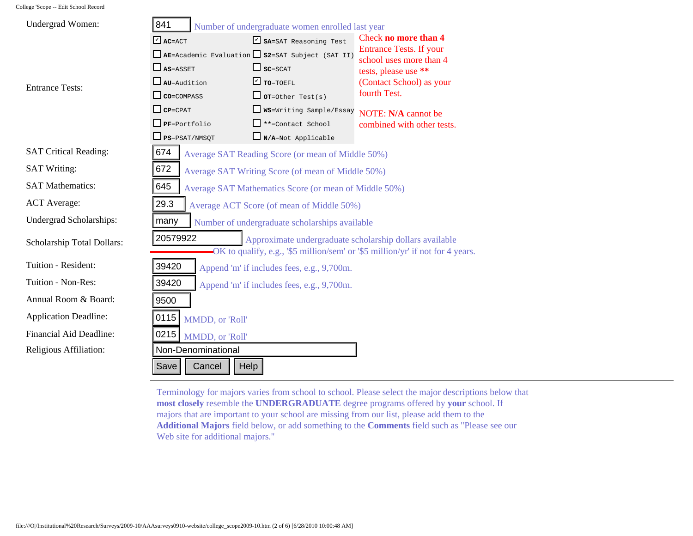| Undergrad Women:             | 841                                                                                                                                                    | Number of undergraduate women enrolled last year      |                                                                                                                                                                                                                                                                                                                                                                                    |  |
|------------------------------|--------------------------------------------------------------------------------------------------------------------------------------------------------|-------------------------------------------------------|------------------------------------------------------------------------------------------------------------------------------------------------------------------------------------------------------------------------------------------------------------------------------------------------------------------------------------------------------------------------------------|--|
|                              | $\Box$ AC=ACT                                                                                                                                          | SA=SAT Reasoning Test                                 | Check no more than 4                                                                                                                                                                                                                                                                                                                                                               |  |
|                              | <b>Entrance Tests. If your</b><br>$\Box$ AE=Academic Evaluation $\Box$ S2=SAT Subject (SAT II)<br>school uses more than 4                              |                                                       |                                                                                                                                                                                                                                                                                                                                                                                    |  |
|                              | $\Box$ AS=ASSET                                                                                                                                        | $\Box$ sc=SCAT                                        | tests, please use **                                                                                                                                                                                                                                                                                                                                                               |  |
| <b>Entrance Tests:</b>       | $\square$ AU=Audition                                                                                                                                  | $\Gamma$ TO=TOEFL                                     | (Contact School) as your                                                                                                                                                                                                                                                                                                                                                           |  |
|                              | $\Box$ CO=COMPASS                                                                                                                                      | $\Box$ or=Other Test(s)                               | fourth Test.                                                                                                                                                                                                                                                                                                                                                                       |  |
|                              | $\Box$ CP=CPAT                                                                                                                                         | WS=Writing Sample/Essay                               | NOTE: N/A cannot be                                                                                                                                                                                                                                                                                                                                                                |  |
|                              | $\Box$ PF=Portfolio                                                                                                                                    | <b>E</b> **=Contact School                            | combined with other tests.                                                                                                                                                                                                                                                                                                                                                         |  |
|                              | $\Box$ $_{\tt PS=PSAT/NMSQT}$                                                                                                                          | $\Box_{N/A=Not}$ Applicable                           |                                                                                                                                                                                                                                                                                                                                                                                    |  |
| <b>SAT Critical Reading:</b> | 674                                                                                                                                                    | Average SAT Reading Score (or mean of Middle 50%)     |                                                                                                                                                                                                                                                                                                                                                                                    |  |
| <b>SAT Writing:</b>          | 672                                                                                                                                                    | Average SAT Writing Score (of mean of Middle 50%)     |                                                                                                                                                                                                                                                                                                                                                                                    |  |
| <b>SAT Mathematics:</b>      | 645                                                                                                                                                    | Average SAT Mathematics Score (or mean of Middle 50%) |                                                                                                                                                                                                                                                                                                                                                                                    |  |
| <b>ACT</b> Average:          | 29.3                                                                                                                                                   | Average ACT Score (of mean of Middle 50%)             |                                                                                                                                                                                                                                                                                                                                                                                    |  |
| Undergrad Scholarships:      | many                                                                                                                                                   | Number of undergraduate scholarships available        |                                                                                                                                                                                                                                                                                                                                                                                    |  |
| Scholarship Total Dollars:   | 20579922<br>Approximate undergraduate scholarship dollars available<br>-OK to qualify, e.g., '\$5 million/sem' or '\$5 million/yr' if not for 4 years. |                                                       |                                                                                                                                                                                                                                                                                                                                                                                    |  |
| Tuition - Resident:          | 39420<br>Append 'm' if includes fees, e.g., 9,700m.                                                                                                    |                                                       |                                                                                                                                                                                                                                                                                                                                                                                    |  |
| Tuition - Non-Res:           | 39420<br>Append 'm' if includes fees, e.g., 9,700m.                                                                                                    |                                                       |                                                                                                                                                                                                                                                                                                                                                                                    |  |
| Annual Room & Board:         | 9500                                                                                                                                                   |                                                       |                                                                                                                                                                                                                                                                                                                                                                                    |  |
| <b>Application Deadline:</b> | 0115<br>MMDD, or 'Roll'                                                                                                                                |                                                       |                                                                                                                                                                                                                                                                                                                                                                                    |  |
| Financial Aid Deadline:      | 0215<br>MMDD, or 'Roll'                                                                                                                                |                                                       |                                                                                                                                                                                                                                                                                                                                                                                    |  |
| Religious Affiliation:       | Non-Denominational                                                                                                                                     |                                                       |                                                                                                                                                                                                                                                                                                                                                                                    |  |
|                              | Cancel<br>Save<br>Help                                                                                                                                 |                                                       |                                                                                                                                                                                                                                                                                                                                                                                    |  |
|                              | Web site for additional majors."                                                                                                                       |                                                       | Terminology for majors varies from school to school. Please select the major descriptions below<br>most closely resemble the UNDERGRADUATE degree programs offered by your school. If<br>majors that are important to your school are missing from our list, please add them to the<br>Additional Majors field below, or add something to the Comments field such as "Please see o |  |

Terminology for majors varies from school to school. Please select the major descriptions below that **most closely** resemble the **UNDERGRADUATE** degree programs offered by **your** school. If majors that are important to your school are missing from our list, please add them to the **Additional Majors** field below, or add something to the **Comments** field such as "Please see our Web site for additional majors."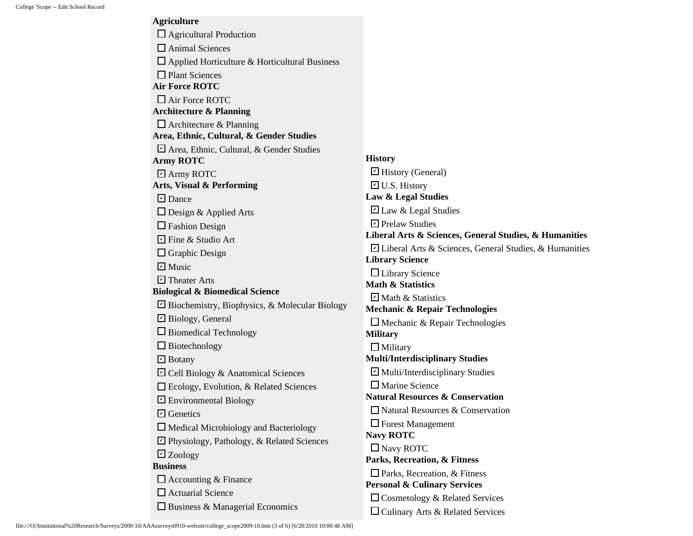**Agriculture** □ Agricultural Production □ Animal Sciences  $\square$  Applied Horticulture & Horticultural Business □ Plant Sciences **Air Force ROTC** □ Air Force ROTC **Architecture & Planning**  $\Box$  Architecture & Planning **Area, Ethnic, Cultural, & Gender Studies** Area, Ethnic, Cultural, & Gender Studies ✔ **Army ROTC** ■ Army ROTC **Arts, Visual & Performing** ■ Dance  $\Box$  Design & Applied Arts □ Fashion Design  $\Box$  Fine & Studio Art  $\Box$  Graphic Design  $\blacktriangleright$  Music **□** Theater Arts **Biological & Biomedical Science**  $\blacktriangleright$  Biochemistry, Biophysics, & Molecular Biology **□** Biology, General  $\square$  Biomedical Technology  $\square$  Biotechnology ■ Botany  $\Box$  Cell Biology & Anatomical Sciences Ecology, Evolution, & Related Sciences  $\Box$  Environmental Biology **□** Genetics  $\Box$  Medical Microbiology and Bacteriology **□** Physiology, Pathology, & Related Sciences Zoology ✔ **Business**  $\Box$  Accounting & Finance  $\Box$  Actuarial Science  $\square$  Business & Managerial Economics **History** History (General) ✔  $\Box$  U.S. History **Law & Legal Studies**  $\Box$  Law & Legal Studies **□** Prelaw Studies **Liberal Arts & Sciences, General Studies, & Humanities**  $\Box$  Liberal Arts & Sciences, General Studies, & Humanities **Library Science** □Library Science **Math & Statistics**  $\Box$  Math & Statistics **Mechanic & Repair Technologies**  $\square$  Mechanic & Repair Technologies **Military**  $\Box$  Military **Multi/Interdisciplinary Studies**  $\Box$  Multi/Interdisciplinary Studies Marine Science **Natural Resources & Conservation** Natural Resources & Conservation  $\Box$  Forest Management **Navy ROTC** □ Navy ROTC **Parks, Recreation, & Fitness** □ Parks, Recreation, & Fitness **Personal & Culinary Services**  $\Box$  Cosmetology & Related Services □ Culinary Arts & Related Services

file:///O|/Institutional%20Research/Surveys/2009-10/AAAsurveys0910-website/college\_scope2009-10.htm (3 of 6) [6/28/2010 10:00:48 AM]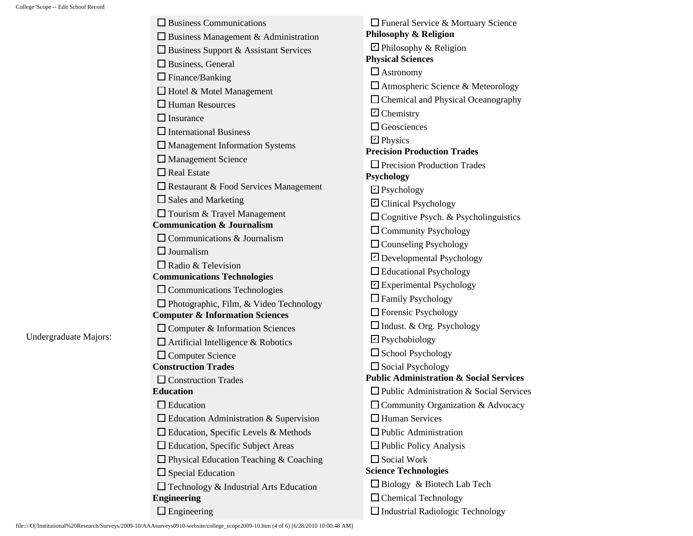Undergraduate Majors:

| $\Box$ Business Communications                 | $\Box$ Funeral Service & Mortuary Science                                      |
|------------------------------------------------|--------------------------------------------------------------------------------|
| $\Box$ Business Management & Administration    | Philosophy & Religion                                                          |
| $\Box$ Business Support & Assistant Services   | $\Box$ Philosophy & Religion                                                   |
| Business, General                              | <b>Physical Sciences</b>                                                       |
| $\Box$ Finance/Banking                         | $\Box$ Astronomy                                                               |
| Hotel & Motel Management                       | $\Box$ Atmospheric Science & Meteorology                                       |
| $\Box$ Human Resources                         | □ Chemical and Physical Oceanography                                           |
| $\Box$ Insurance                               | $\boxdot$ Chemistry                                                            |
| $\Box$ International Business                  | $\Box$ Geosciences                                                             |
| $\Box$ Management Information Systems          | $\Box$ Physics                                                                 |
| $\Box$ Management Science                      | <b>Precision Production Trades</b>                                             |
| $\Box$ Real Estate                             | $\Box$ Precision Production Trades<br><b>Psychology</b>                        |
| $\Box$ Restaurant & Food Services Management   | $\Box$ Psychology                                                              |
| $\square$ Sales and Marketing                  | □ Clinical Psychology                                                          |
| $\Box$ Tourism & Travel Management             | $\Box$ Cognitive Psych. & Psycholinguistics                                    |
| <b>Communication &amp; Journalism</b>          | $\Box$ Community Psychology                                                    |
| $\Box$ Communications & Journalism             | $\Box$ Counseling Psychology                                                   |
| $\Box$ Journalism                              |                                                                                |
| $\Box$ Radio & Television                      | □ Developmental Psychology<br>$\Box$ Educational Psychology                    |
| <b>Communications Technologies</b>             |                                                                                |
| $\Box$ Communications Technologies             | ☑ Experimental Psychology                                                      |
| $\Box$ Photographic, Film, & Video Technology  | $\Box$ Family Psychology                                                       |
| <b>Computer &amp; Information Sciences</b>     | $\Box$ Forensic Psychology                                                     |
| $\Box$ Computer & Information Sciences         | $\Box$ Indust. & Org. Psychology                                               |
| $\Box$ Artificial Intelligence & Robotics      | $\Box$ Psychobiology                                                           |
| $\Box$ Computer Science                        | $\square$ School Psychology                                                    |
| <b>Construction Trades</b>                     | $\Box$ Social Psychology<br><b>Public Administration &amp; Social Services</b> |
| $\Box$ Construction Trades<br><b>Education</b> | $\Box$ Public Administration & Social Services                                 |
| $\Box$ Education                               |                                                                                |
|                                                | □ Community Organization & Advocacy<br>$\Box$ Human Services                   |
| $\Box$ Education Administration & Supervision  |                                                                                |
| $\Box$ Education, Specific Levels & Methods    | $\Box$ Public Administration                                                   |
| $\Box$ Education, Specific Subject Areas       | $\Box$ Public Policy Analysis                                                  |
| $\Box$ Physical Education Teaching & Coaching  | $\Box$ Social Work<br><b>Science Technologies</b>                              |
| $\Box$ Special Education                       | $\Box$ Biology & Biotech Lab Tech                                              |
| Technology & Industrial Arts Education         |                                                                                |
| <b>Engineering</b>                             | $\Box$ Chemical Technology                                                     |
| $\Box$ Engineering                             | $\Box$ Industrial Radiologic Technology                                        |

file:///O|/Institutional%20Research/Surveys/2009-10/AAAsurveys0910-website/college\_scope2009-10.htm (4 of 6) [6/28/2010 10:00:48 AM]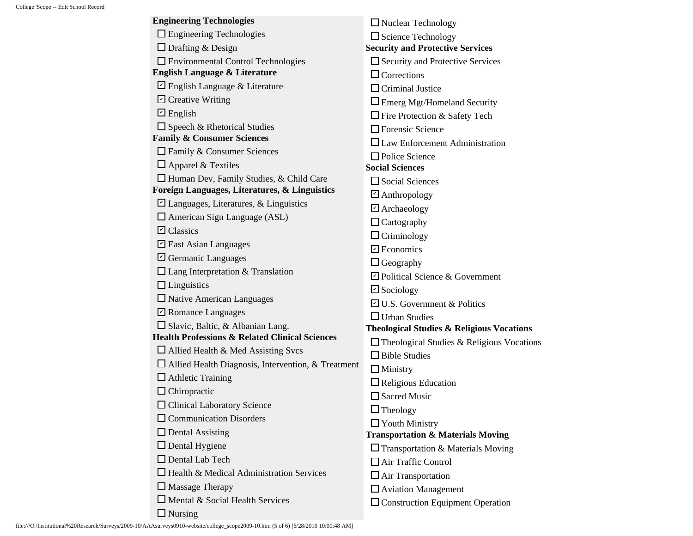| <b>Engineering Technologies</b>                           | $\Box$ Nuclear Technology                            |
|-----------------------------------------------------------|------------------------------------------------------|
| $\Box$ Engineering Technologies                           | $\Box$ Science Technology                            |
| $\Box$ Drafting & Design                                  | <b>Security and Protective Services</b>              |
| $\Box$ Environmental Control Technologies                 | $\square$ Security and Protective Services           |
| <b>English Language &amp; Literature</b>                  | $\Box$ Corrections                                   |
| $\Box$ English Language & Literature                      | $\Box$ Criminal Justice                              |
| $\triangleright$ Creative Writing                         | $\Box$ Emerg Mgt/Homeland Security                   |
| $\boxdot$ English                                         | $\Box$ Fire Protection & Safety Tech                 |
| □ Speech & Rhetorical Studies                             | $\Box$ Forensic Science                              |
| <b>Family &amp; Consumer Sciences</b>                     | $\Box$ Law Enforcement Administration                |
| $\Box$ Family & Consumer Sciences                         | $\Box$ Police Science                                |
| $\Box$ Apparel & Textiles                                 | <b>Social Sciences</b>                               |
| $\Box$ Human Dev, Family Studies, & Child Care            | $\square$ Social Sciences                            |
| Foreign Languages, Literatures, & Linguistics             | $\Box$ Anthropology                                  |
| $\Box$ Languages, Literatures, & Linguistics              | $\Box$ Archaeology                                   |
| American Sign Language (ASL)                              | $\Box$ Cartography                                   |
| $\Box$ Classics                                           | $\Box$ Criminology                                   |
| $\triangleright$ East Asian Languages                     | $\Box$ Economics                                     |
| $\boxdot$ Germanic Languages                              | $\Box$ Geography                                     |
| $\Box$ Lang Interpretation & Translation                  | $\triangleright$ Political Science & Government      |
| $\Box$ Linguistics                                        | $\boxdot$ Sociology                                  |
| $\Box$ Native American Languages                          | <b><math>\Box</math></b> U.S. Government & Politics  |
| $\triangleright$ Romance Languages                        | $\Box$ Urban Studies                                 |
| $\Box$ Slavic, Baltic, & Albanian Lang.                   | <b>Theological Studies &amp; Religious Vocations</b> |
| <b>Health Professions &amp; Related Clinical Sciences</b> | $\Box$ Theological Studies & Religious Vocations     |
| $\Box$ Allied Health & Med Assisting Svcs                 | $\Box$ Bible Studies                                 |
| $\Box$ Allied Health Diagnosis, Intervention, & Treatment | $\Box$ Ministry                                      |
| $\Box$ Athletic Training                                  | $\Box$ Religious Education                           |
| $\Box$ Chiropractic                                       | $\Box$ Sacred Music                                  |
| Clinical Laboratory Science                               | $\Box$ Theology                                      |
| $\Box$ Communication Disorders                            | $\Box$ Youth Ministry                                |
| $\Box$ Dental Assisting                                   | <b>Transportation &amp; Materials Moving</b>         |
| $\Box$ Dental Hygiene                                     | $\Box$ Transportation & Materials Moving             |
| $\Box$ Dental Lab Tech                                    | $\Box$ Air Traffic Control                           |
| $\Box$ Health & Medical Administration Services           | $\Box$ Air Transportation                            |
| $\Box$ Massage Therapy                                    | $\Box$ Aviation Management                           |
| $\Box$ Mental & Social Health Services                    | $\Box$ Construction Equipment Operation              |
| $\Box$ Nursing                                            |                                                      |

file:///O|/Institutional%20Research/Surveys/2009-10/AAAsurveys0910-website/college\_scope2009-10.htm (5 of 6) [6/28/2010 10:00:48 AM]